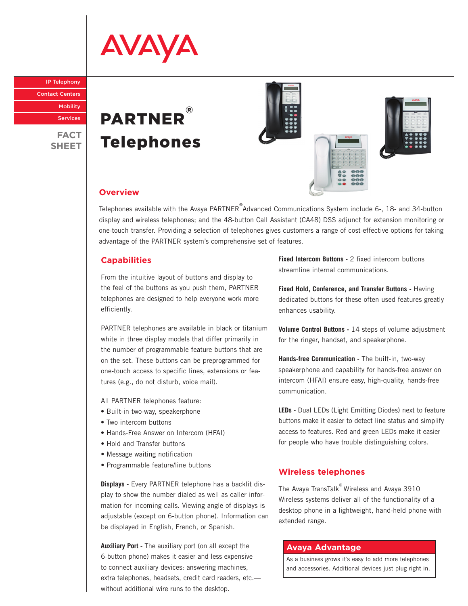# **AVAYA**

IP Telephony

Contact Centers

**Mobility** 

Services

**FACT SHEET**





#### **Overview**

Telephones available with the Avaya PARTNER<sup>®</sup>Advanced Communications System include 6-, 18- and 34-button display and wireless telephones; and the 48-button Call Assistant (CA48) DSS adjunct for extension monitoring or one-touch transfer. Providing a selection of telephones gives customers a range of cost-effective options for taking advantage of the PARTNER system's comprehensive set of features.

#### **Capabilities**

From the intuitive layout of buttons and display to the feel of the buttons as you push them, PARTNER telephones are designed to help everyone work more efficiently.

PARTNER telephones are available in black or titanium white in three display models that differ primarily in the number of programmable feature buttons that are on the set. These buttons can be preprogrammed for one-touch access to specific lines, extensions or features (e.g., do not disturb, voice mail).

All PARTNER telephones feature:

- Built-in two-way, speakerphone
- Two intercom buttons
- Hands-Free Answer on Intercom (HFAI)
- Hold and Transfer buttons
- Message waiting notification
- Programmable feature/line buttons

**Displays -** Every PARTNER telephone has a backlit display to show the number dialed as well as caller information for incoming calls. Viewing angle of displays is adjustable (except on 6-button phone). Information can be displayed in English, French, or Spanish.

**Auxiliary Port -** The auxiliary port (on all except the 6-button phone) makes it easier and less expensive to connect auxiliary devices: answering machines, extra telephones, headsets, credit card readers, etc. without additional wire runs to the desktop.

**Fixed Intercom Buttons - 2 fixed intercom buttons** streamline internal communications.

**Fixed Hold, Conference, and Transfer Buttons -** Having dedicated buttons for these often used features greatly enhances usability.

**Volume Control Buttons -** 14 steps of volume adjustment for the ringer, handset, and speakerphone.

**Hands-free Communication -** The built-in, two-way speakerphone and capability for hands-free answer on intercom (HFAI) ensure easy, high-quality, hands-free communication.

**LEDs -** Dual LEDs (Light Emitting Diodes) next to feature buttons make it easier to detect line status and simplify access to features. Red and green LEDs make it easier for people who have trouble distinguishing colors.

### **Wireless telephones**

The Avaya TransTalk® Wireless and Avaya 3910 Wireless systems deliver all of the functionality of a desktop phone in a lightweight, hand-held phone with extended range.

#### **Avaya Advantage**

As a business grows it's easy to add more telephones and accessories. Additional devices just plug right in.